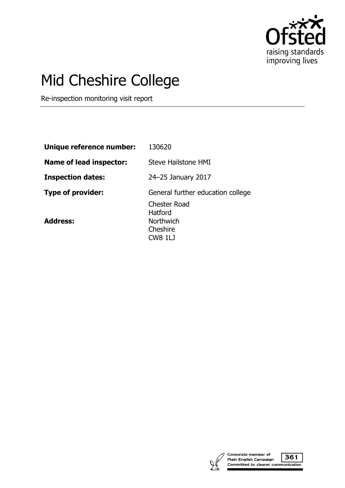

# Mid Cheshire College

Re-inspection monitoring visit report

| Unique reference number:       | 130620                                                                           |
|--------------------------------|----------------------------------------------------------------------------------|
| <b>Name of lead inspector:</b> | Steve Hailstone HMI                                                              |
| <b>Inspection dates:</b>       | 24-25 January 2017                                                               |
| <b>Type of provider:</b>       | General further education college                                                |
| <b>Address:</b>                | <b>Chester Road</b><br>Hatford<br><b>Northwich</b><br>Cheshire<br><b>CW8 1LJ</b> |



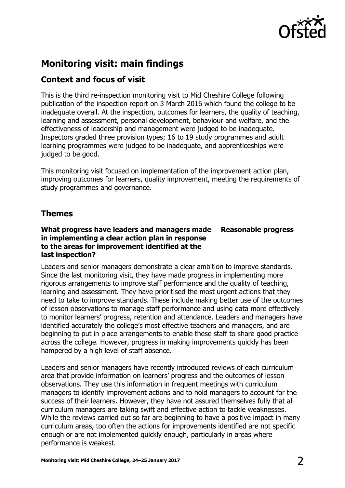

# **Monitoring visit: main findings**

# **Context and focus of visit**

This is the third re-inspection monitoring visit to Mid Cheshire College following publication of the inspection report on 3 March 2016 which found the college to be inadequate overall. At the inspection, outcomes for learners, the quality of teaching, learning and assessment, personal development, behaviour and welfare, and the effectiveness of leadership and management were judged to be inadequate. Inspectors graded three provision types; 16 to 19 study programmes and adult learning programmes were judged to be inadequate, and apprenticeships were judged to be good.

This monitoring visit focused on implementation of the improvement action plan, improving outcomes for learners, quality improvement, meeting the requirements of study programmes and governance.

# **Themes**

## **What progress have leaders and managers made in implementing a clear action plan in response to the areas for improvement identified at the last inspection? Reasonable progress**

Leaders and senior managers demonstrate a clear ambition to improve standards. Since the last monitoring visit, they have made progress in implementing more rigorous arrangements to improve staff performance and the quality of teaching, learning and assessment. They have prioritised the most urgent actions that they need to take to improve standards. These include making better use of the outcomes of lesson observations to manage staff performance and using data more effectively to monitor learners' progress, retention and attendance. Leaders and managers have identified accurately the college's most effective teachers and managers, and are beginning to put in place arrangements to enable these staff to share good practice across the college. However, progress in making improvements quickly has been hampered by a high level of staff absence.

Leaders and senior managers have recently introduced reviews of each curriculum area that provide information on learners' progress and the outcomes of lesson observations. They use this information in frequent meetings with curriculum managers to identify improvement actions and to hold managers to account for the success of their learners. However, they have not assured themselves fully that all curriculum managers are taking swift and effective action to tackle weaknesses. While the reviews carried out so far are beginning to have a positive impact in many curriculum areas, too often the actions for improvements identified are not specific enough or are not implemented quickly enough, particularly in areas where performance is weakest.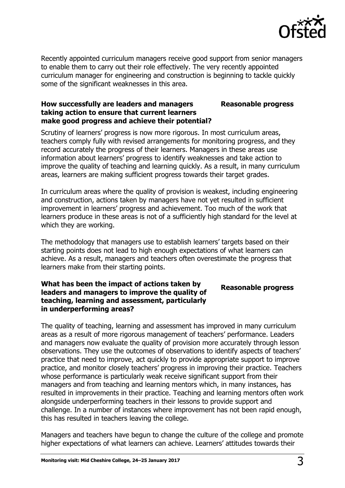

Recently appointed curriculum managers receive good support from senior managers to enable them to carry out their role effectively. The very recently appointed curriculum manager for engineering and construction is beginning to tackle quickly some of the significant weaknesses in this area.

### **How successfully are leaders and managers taking action to ensure that current learners make good progress and achieve their potential? Reasonable progress**

Scrutiny of learners' progress is now more rigorous. In most curriculum areas, teachers comply fully with revised arrangements for monitoring progress, and they record accurately the progress of their learners. Managers in these areas use information about learners' progress to identify weaknesses and take action to improve the quality of teaching and learning quickly. As a result, in many curriculum areas, learners are making sufficient progress towards their target grades.

In curriculum areas where the quality of provision is weakest, including engineering and construction, actions taken by managers have not yet resulted in sufficient improvement in learners' progress and achievement. Too much of the work that learners produce in these areas is not of a sufficiently high standard for the level at which they are working.

The methodology that managers use to establish learners' targets based on their starting points does not lead to high enough expectations of what learners can achieve. As a result, managers and teachers often overestimate the progress that learners make from their starting points.

## **What has been the impact of actions taken by leaders and managers to improve the quality of teaching, learning and assessment, particularly in underperforming areas?**

**Reasonable progress**

The quality of teaching, learning and assessment has improved in many curriculum areas as a result of more rigorous management of teachers' performance. Leaders and managers now evaluate the quality of provision more accurately through lesson observations. They use the outcomes of observations to identify aspects of teachers' practice that need to improve, act quickly to provide appropriate support to improve practice, and monitor closely teachers' progress in improving their practice. Teachers whose performance is particularly weak receive significant support from their managers and from teaching and learning mentors which, in many instances, has resulted in improvements in their practice. Teaching and learning mentors often work alongside underperforming teachers in their lessons to provide support and challenge. In a number of instances where improvement has not been rapid enough, this has resulted in teachers leaving the college.

Managers and teachers have begun to change the culture of the college and promote higher expectations of what learners can achieve. Learners' attitudes towards their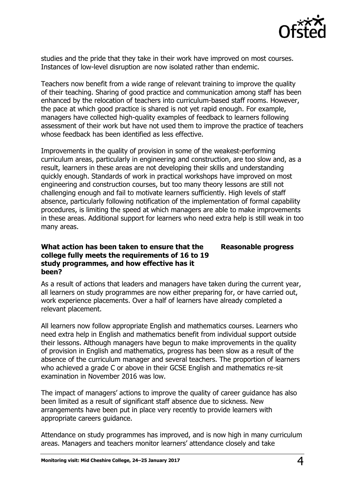

studies and the pride that they take in their work have improved on most courses. Instances of low-level disruption are now isolated rather than endemic.

Teachers now benefit from a wide range of relevant training to improve the quality of their teaching. Sharing of good practice and communication among staff has been enhanced by the relocation of teachers into curriculum-based staff rooms. However, the pace at which good practice is shared is not yet rapid enough. For example, managers have collected high-quality examples of feedback to learners following assessment of their work but have not used them to improve the practice of teachers whose feedback has been identified as less effective.

Improvements in the quality of provision in some of the weakest-performing curriculum areas, particularly in engineering and construction, are too slow and, as a result, learners in these areas are not developing their skills and understanding quickly enough. Standards of work in practical workshops have improved on most engineering and construction courses, but too many theory lessons are still not challenging enough and fail to motivate learners sufficiently. High levels of staff absence, particularly following notification of the implementation of formal capability procedures, is limiting the speed at which managers are able to make improvements in these areas. Additional support for learners who need extra help is still weak in too many areas.

## **What action has been taken to ensure that the college fully meets the requirements of 16 to 19 study programmes, and how effective has it been? Reasonable progress**

As a result of actions that leaders and managers have taken during the current year, all learners on study programmes are now either preparing for, or have carried out, work experience placements. Over a half of learners have already completed a relevant placement.

All learners now follow appropriate English and mathematics courses. Learners who need extra help in English and mathematics benefit from individual support outside their lessons. Although managers have begun to make improvements in the quality of provision in English and mathematics, progress has been slow as a result of the absence of the curriculum manager and several teachers. The proportion of learners who achieved a grade C or above in their GCSE English and mathematics re-sit examination in November 2016 was low.

The impact of managers' actions to improve the quality of career guidance has also been limited as a result of significant staff absence due to sickness. New arrangements have been put in place very recently to provide learners with appropriate careers guidance.

Attendance on study programmes has improved, and is now high in many curriculum areas. Managers and teachers monitor learners' attendance closely and take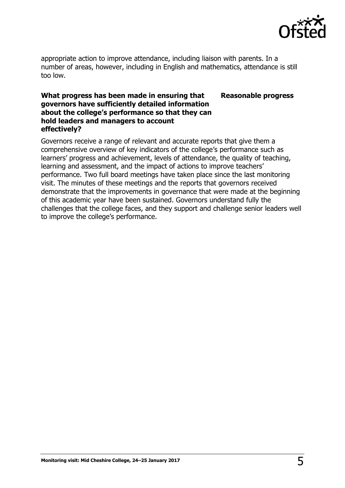

appropriate action to improve attendance, including liaison with parents. In a number of areas, however, including in English and mathematics, attendance is still too low.

## **What progress has been made in ensuring that governors have sufficiently detailed information about the college's performance so that they can hold leaders and managers to account effectively? Reasonable progress**

Governors receive a range of relevant and accurate reports that give them a comprehensive overview of key indicators of the college's performance such as learners' progress and achievement, levels of attendance, the quality of teaching, learning and assessment, and the impact of actions to improve teachers' performance. Two full board meetings have taken place since the last monitoring visit. The minutes of these meetings and the reports that governors received demonstrate that the improvements in governance that were made at the beginning of this academic year have been sustained. Governors understand fully the challenges that the college faces, and they support and challenge senior leaders well to improve the college's performance.